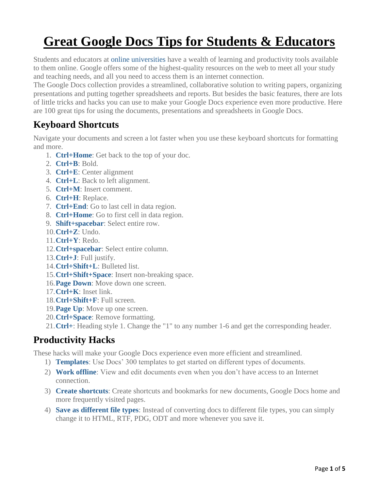# **Great Google Docs Tips for Students & Educators**

Students and educators at [online universities](http://onlineuniversities.com/) have a wealth of learning and productivity tools available to them online. Google offers some of the highest-quality resources on the web to meet all your study and teaching needs, and all you need to access them is an internet connection.

The Google Docs collection provides a streamlined, collaborative solution to writing papers, organizing presentations and putting together spreadsheets and reports. But besides the basic features, there are lots of little tricks and hacks you can use to make your Google Docs experience even more productive. Here are 100 great tips for using the documents, presentations and spreadsheets in Google Docs.

#### **Keyboard Shortcuts**

Navigate your documents and screen a lot faster when you use these keyboard shortcuts for formatting and more.

- 1. **[Ctrl+Home](http://lifehacker.com/208832/google-docs-keyboard-shortcuts)**: Get back to the top of your doc.
- 2. **[Ctrl+B](http://www.keyxl.com/aaa1f23/75/Google-Docs-word-processing-software-keyboard-shortcuts.htm)**: Bold.
- 3. **[Ctrl+E](http://www.keyxl.com/aaa1f23/75/Google-Docs-word-processing-software-keyboard-shortcuts.htm)**: Center alignment
- 4. **[Ctrl+L](http://www.keyxl.com/aaa1f23/75/Google-Docs-word-processing-software-keyboard-shortcuts.htm)**: Back to left alignment.
- 5. **[Ctrl+M](http://lifehacker.com/208832/google-docs-keyboard-shortcuts)**: Insert comment.
- 6. **[Ctrl+H](http://www.keyxl.com/aaa1f23/75/Google-Docs-word-processing-software-keyboard-shortcuts.htm)**: Replace.
- 7. **[Ctrl+End](http://knol.google.com/k/google-docs-guide-2/google-docs-help-keyboard-shortcuts/2vcnhxffa8r42/26)**: Go to last cell in data region.
- 8. **[Ctrl+Home](http://knol.google.com/k/google-docs-guide-2/google-docs-help-keyboard-shortcuts/2vcnhxffa8r42/26)**: Go to first cell in data region.
- 9. **[Shift+spacebar](http://docs.google.com/support/bin/answer.py?hl=en&answer=66280)**: Select entire row.
- 10.**[Ctrl+Z](http://lifehacker.com/208832/google-docs-keyboard-shortcuts)**: Undo.
- 11.**[Ctrl+Y](http://knol.google.com/k/google-docs-guide-2/google-docs-help-keyboard-shortcuts/2vcnhxffa8r42/26)**: Redo.
- 12.**[Ctrl+spacebar](http://docs.google.com/support/bin/answer.py?hl=en&answer=66280)**: Select entire column.
- 13.**[Ctrl+J](http://www.keyxl.com/aaa1f23/75/Google-Docs-word-processing-software-keyboard-shortcuts.htm)**: Full justify.
- 14.**[Ctrl+Shift+L](http://knol.google.com/k/google-docs-guide-2/google-docs-help-keyboard-shortcuts/2vcnhxffa8r42/26)**: Bulleted list.
- 15.**[Ctrl+Shift+Space](http://knol.google.com/k/google-docs-guide-2/google-docs-help-keyboard-shortcuts/2vcnhxffa8r42/26)**: Insert non-breaking space.
- 16.**[Page Down](http://docs.google.com/support/bin/answer.py?hl=en&answer=66280)**: Move down one screen.
- 17.**[Ctrl+K](http://www.keyxl.com/aaa1f23/75/Google-Docs-word-processing-software-keyboard-shortcuts.htm)**: Inset link.
- 18.**[Ctrl+Shift+F](http://knol.google.com/k/google-docs-guide-2/google-docs-help-keyboard-shortcuts/2vcnhxffa8r42/26)**: Full screen.
- 19.**[Page Up](http://docs.google.com/support/bin/answer.py?hl=en&answer=66280)**: Move up one screen.
- 20.**[Ctrl+Space](http://www.keyxl.com/aaa1f23/75/Google-Docs-word-processing-software-keyboard-shortcuts.htm)**: Remove formatting.
- 21.**[Ctrl+](http://knol.google.com/k/google-docs-guide-2/google-docs-help-keyboard-shortcuts/2vcnhxffa8r42/26)**: Heading style 1. Change the "1" to any number 1-6 and get the corresponding header.

## **Productivity Hacks**

These hacks will make your Google Docs experience even more efficient and streamlined.

- 1) **[Templates](http://blogs.bnet.com/businesstips/?p=1734)**: Use Docs' 300 templates to get started on different types of documents.
- 2) **[Work offline](http://docs.google.com/support/bin/answer.py?hl=en&answer=92323)**: View and edit documents even when you don't have access to an Internet connection.
- 3) **[Create shortcuts](http://webworkerdaily.com/2007/06/29/10-ways-to-use-the-new-google-docs-productively/)**: Create shortcuts and bookmarks for new documents, Google Docs home and more frequently visited pages.
- 4) **[Save as different file types](http://www.google.com/google-d-s/tour3.html)**: Instead of converting docs to different file types, you can simply change it to HTML, RTF, PDG, ODT and more whenever you save it.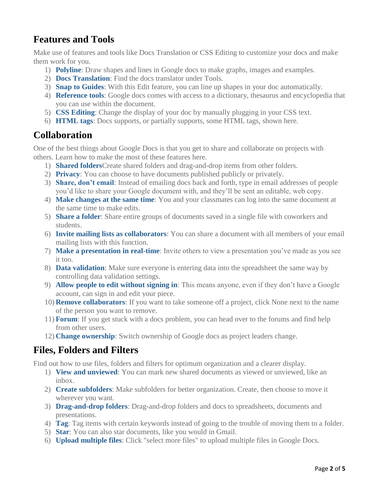# **Features and Tools**

Make use of features and tools like Docs Translation or CSS Editing to customize your docs and make them work for you.

- 1) **[Polyline](http://www.googletutor.com/2009/10/09/now-draw-better-in-google-docs-with-3-new-features/)**: Draw shapes and lines in Google docs to make graphs, images and examples.
- 2) **[Docs Translation](http://www.googletutor.com/2009/09/21/does-google-docs-translation-tool-really-work/)**: Find the docs translator under Tools.
- 3) **[Snap to Guides](http://www.googletutor.com/2009/10/09/now-draw-better-in-google-docs-with-3-new-features/)**: With this Edit feature, you can line up shapes in your doc automatically.
- 4) **[Reference tools](http://docs.google.com/support/bin/answer.py?hl=en&answer=107178)**: Google docs comes with access to a dictionary, thesaurus and encyclopedia that you can use within the document.
- 5) **[CSS Editing](http://docs.google.com/support/bin/answer.py?hl=en&answer=94168)**: Change the display of your doc by manually plugging in your CSS text.
- 6) **[HTML tags](http://docs.google.com/support/bin/answer.py?hl=en&answer=146021)**: Docs supports, or partially supports, some HTML tags, shown here.

#### **Collaboration**

One of the best things about Google Docs is that you get to share and collaborate on projects with others. Learn how to make the most of these features here.

- 1) **[Shared folders](http://docs.google.com/support/bin/answer.py?answer=158074&hl=en)**Create shared folders and drag-and-drop items from other folders.
- 2) **[Privacy](http://www.google.com/google-d-s/tour4.html)**: You can choose to have documents published publicly or privately.
- 3) **[Share, don't email](http://webworkerdaily.com/2007/06/29/10-ways-to-use-the-new-google-docs-productively/%22)**: Instead of emailing docs back and forth, type in email addresses of people you'd like to share your Google document with, and they'll be sent an editable, web copy.
- 4) **[Make changes at the same time](http://www.google.com/google-d-s/tour2.html)**: You and your classmates can log into the same document at the same time to make edits.
- 5) **[Share a folder](http://www.google.com/google-d-s/whatsnew.html)**: Share entire groups of documents saved in a single file with coworkers and students.
- 6) **[Invite mailing lists as collaborators](http://docs.google.com/support/bin/answer.py?hl=en&answer=66343)**: You can share a document with all members of your email mailing lists with this function.
- 7) **[Make a presentation in real-time](http://www.google.com/google-d-s/tour2.html)**: Invite others to view a presentation you've made as you see it too.
- 8) **[Data validation](http://docs.google.com/support/bin/answer.py?hl=en&answer=139705)**: Make sure everyone is entering data into the spreadsheet the same way by controlling data validation settings.
- 9) **[Allow people to edit without signing in](http://docs.google.com/support/bin/answer.py?hl=en&answer=96346)**: This means anyone, even if they don't have a Google account, can sign in and edit your piece.
- 10) **[Remove collaborators](http://docs.google.com/support/bin/answer.py?hl=en&answer=43271)**: If you want to take someone off a project, click None next to the name of the person you want to remove.
- 11) **[Forum](http://www.google.com/support/forum/p/Google+Docs)**: If you get stuck with a docs problem, you can head over to the forums and find help from other users.
- 12) **[Change ownership](http://docs.google.com/support/bin/answer.py?hl=en&answer=92358)**: Switch ownership of Google docs as project leaders change.

## **Files, Folders and Filters**

Find out how to use files, folders and filters for optimum organization and a clearer display.

- 1) **[View and unviewed](http://docs.google.com/support/bin/answer.py?hl=en&answer=165318)**: You can mark new shared documents as viewed or unviewed, like an inbox.
- 2) **[Create subfolders](http://docs.google.com/support/bin/answer.py?hl=en&answer=86142)**: Make subfolders for better organization. Create, then choose to move it wherever you want.
- 3) **[Drag-and-drop folders](http://docs.google.com/support/bin/answer.py?hl=en&answer=68491)**: Drag-and-drop folders and docs to spreadsheets, documents and presentations.
- 4) **[Tag](http://webworkerdaily.com/2007/06/29/10-ways-to-use-the-new-google-docs-productively/)**: Tag items with certain keywords instead of going to the trouble of moving them to a folder.
- 5) **[Star](http://docs.google.com/support/bin/answer.py?hl=en&answer=50094)**: You can also star documents, like you would in Gmail.
- 6) **[Upload multiple files](http://docs.google.com/support/bin/answer.py?hl=en&answer=147167)**: Click "select more files" to upload multiple files in Google Docs.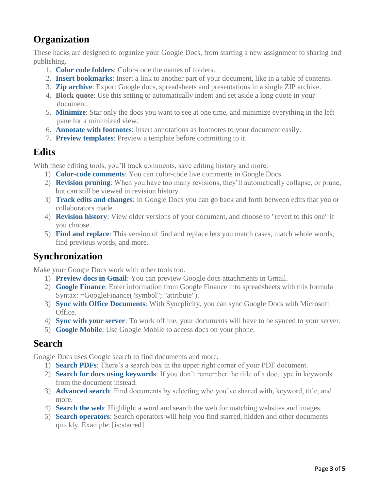# **Organization**

These hacks are designed to organize your Google Docs, from starting a new assignment to sharing and publishing.

- 1. **[Color code folders](http://docs.google.com/support/bin/answer.py?hl=en&answer=92357)**: Color-code the names of folders.
- 2. **[Insert bookmarks](http://www.youtube.com/watch?v=GAkSoNFp-1Y)**: Insert a link to another part of your document, like in a table of contents.
- 3. **[Zip archive](http://googlesystem.blogspot.com/2009/10/export-google-docs.html)**: Export Google docs, spreadsheets and presentations in a single ZIP archive.
- 4. **Block quote**: Use this setting to automatically indent and set aside a long quote in your document.
- 5. **[Minimize](http://webworkerdaily.com/2007/06/29/10-ways-to-use-the-new-google-docs-productively/)**: Star only the docs you want to see at one time, and minimize everything in the left pane for a minimized view.
- 6. **[Annotate with footnotes](http://docs.google.com/support/bin/answer.py?hl=en&answer=107177)**: Insert annotations as footnotes to your document easily.
- 7. **[Preview templates](http://docs.google.com/support/bin/answer.py?hl=en&answer=99071)**: Preview a template before committing to it.

## **Edits**

With these editing tools, you'll track comments, save editing history and more.

- 1) **[Color-code comments](http://news.cnet.com/8301-17939_109-9732473-2.html)**: You can color-code live comments in Google Docs.
- 2) **[Revision pruning](http://docs.google.com/support/bin/answer.py?hl=en&answer=95902)**: When you have too many revisions, they'll automatically collapse, or prune, but can still be viewed in revision history.
- 3) **[Track edits and changes](http://news.cnet.com/8301-17939_109-9732473-2.html)**: In Google Docs you can go back and forth between edits that you or collaborators made.
- 4) **[Revision history](http://docs.google.com/support/bin/answer.py?hl=en&answer=92199)**: View older versions of your document, and choose to "revert to this one" if you choose.
- 5) **[Find and replace](http://docs.google.com/support/bin/answer.py?hl=en&answer=62754)**: This version of find and replace lets you match cases, match whole words, find previous words, and more.

## **Synchronization**

Make your Google Docs work with other tools too.

- 1) **[Preview docs in Gmail](http://www.googletutor.com/2009/10/20/preview-google-docs-directly-in-gmail/)**: You can preview Google docs attachments in Gmail.
- 2) **[Google Finance](http://docs.google.com/support/bin/answer.py?hl=en&query=google+finance&answer=54198)**: Enter information from Google Finance into spreadsheets with this formula Syntax: =GoogleFinance("symbol"; "attribute").
- 3) **[Sync with Office Documents](http://www.labnol.org/internet/office/backup-and-sync-google-docs-files/5188/)**: With Syncplicity, you can sync Google Docs with Microsoft Office.
- 4) **[Sync with your server](http://docs.google.com/support/bin/answer.py?hl=en&answer=92350)**: To work offline, your documents will have to be synced to your server.
- 5) **[Google Mobile](http://www.google.com/mobile/#p=default)**: Use Google Mobile to access docs on your phone.

#### **Search**

Google Docs uses Google search to find documents and more.

- 1) **[Search PDFs](http://docs.google.com/support/bin/answer.py?hl=en&answer=97468)**: There's a search box in the upper right corner of your PDF document.
- 2) **[Search for docs using keywords](http://docs.google.com/support/bin/answer.py?hl=en&answer=50094)**: If you don't remember the title of a doc, type in keywords from the document instead.
- 3) **[Advanced search](http://docs.google.com/support/bin/answer.py?hl=en&answer=93297)**: Find documents by selecting who you've shared with, keyword, title, and more.
- 4) **[Search the web](http://docs.google.com/support/bin/answer.py?hl=en&answer=107179)**: Highlight a word and search the web for matching websites and images.
- 5) **[Search operators](http://docs.google.com/support/bin/answer.py?hl=en&answer=50094)**: Search operators will help you find starred, hidden and other documents quickly. Example: [is:starred]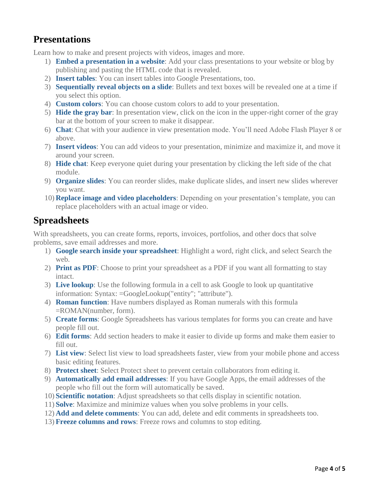#### **Presentations**

Learn how to make and present projects with videos, images and more.

- 1) **[Embed a presentation in a website](http://74.125.155.132/search?q=cache:dNu9Mf-6WIYJ:classrooms.tacoma.k12.wa.us/tps/jleiman/documents/top_14_google_docs_tricks.doc+google+docs+tips+tricks&cd=6&hl=en&ct=clnk&gl=us)**: Add your class presentations to your website or blog by publishing and pasting the HTML code that is revealed.
- 2) **[Insert tables](http://docs.google.com/support/bin/answer.py?hl=en&answer=154633)**: You can insert tables into Google Presentations, too.
- 3) **[Sequentially reveal objects on a slide](http://docs.google.com/support/bin/answer.py?hl=en&answer=100380)**: Bullets and text boxes will be revealed one at a time if you select this option.
- 4) **[Custom colors](http://docs.google.com/support/bin/answer.py?hl=en&answer=97513)**: You can choose custom colors to add to your presentation.
- 5) **[Hide the gray bar](http://docs.google.com/support/bin/answer.py?hl=en&answer=69083)**: In presentation view, click on the icon in the upper-right corner of the gray bar at the bottom of your screen to make it disappear.
- 6) **[Chat](http://docs.google.com/support/bin/answer.py?hl=en&answer=69239)**: Chat with your audience in view presentation mode. You'll need Adobe Flash Player 8 or above.
- 7) **[Insert videos](http://docs.google.com/support/bin/answer.py?hl=en&answer=94194)**: You can add videos to your presentation, minimize and maximize it, and move it around your screen.
- 8) **[Hide chat](http://docs.google.com/support/bin/answer.py?hl=en&answer=79123)**: Keep everyone quiet during your presentation by clicking the left side of the chat module.
- 9) **[Organize slides](http://docs.google.com/support/bin/answer.py?hl=en&answer=69073)**: You can reorder slides, make duplicate slides, and insert new slides wherever you want.
- 10) **[Replace image and video placeholders](http://docs.google.com/support/bin/answer.py?hl=en&answer=99075)**: Depending on your presentation's template, you can replace placeholders with an actual image or video.

#### **Spreadsheets**

With spreadsheets, you can create forms, reports, invoices, portfolios, and other docs that solve problems, save email addresses and more.

- 1) **[Google search inside your spreadsheet](http://news.cnet.com/8301-17939_109-9732473-2.html)**: Highlight a word, right click, and select Search the web.
- 2) **[Print as PDF](http://docs.google.com/support/bin/answer.py?hl=en&answer=40609)**: Choose to print your spreadsheet as a PDF if you want all formatting to stay intact.
- 3) **[Live lookup](http://docs.google.com/support/bin/answer.py?hl=en&answer=54199)**: Use the following formula in a cell to ask Google to look up quantitative information: Syntax: =GoogleLookup("entity"; "attribute").
- 4) **[Roman function](http://docs.google.com/support/bin/answer.py?answer=152703&topic=16775&hl=en)**: Have numbers displayed as Roman numerals with this formula =ROMAN(number, form).
- 5) **[Create forms](http://docs.google.com/support/bin/answer.py?hl=en&answer=145737)**: Google Spreadsheets has various templates for forms you can create and have people fill out.
- 6) **[Edit forms](http://docs.google.com/support/bin/answer.py?answer=141062&hl=en)**: Add section headers to make it easier to divide up forms and make them easier to fill out.
- 7) **[List view](http://docs.google.com/support/bin/answer.py?hl=en&answer=139561)**: Select list view to load spreadsheets faster, view from your mobile phone and access basic editing features.
- 8) **[Protect sheet](http://docs.google.com/support/bin/answer.py?hl=en&answer=144687)**: Select Protect sheet to prevent certain collaborators from editing it.
- 9) **[Automatically add email addresses](http://docs.google.com/support/bin/answer.py?hl=en&answer=87809)**: If you have Google Apps, the email addresses of the people who fill out the form will automatically be saved.
- 10) **[Scientific notation](http://docs.google.com/support/bin/answer.py?hl=en&topic=13179&answer=98738)**: Adjust spreadsheets so that cells display in scientific notation.
- 11) **[Solve](http://docs.google.com/support/bin/answer.py?hl=en&answer=139704)**: Maximize and minimize values when you solve problems in your cells.
- 12) **[Add and delete comments](http://docs.google.com/support/bin/answer.py?hl=en&answer=65129)**: You can add, delete and edit comments in spreadsheets too.
- 13) **[Freeze columns and rows](http://docs.google.com/support/bin/answer.py?hl=en&answer=54813)**: Freeze rows and columns to stop editing.